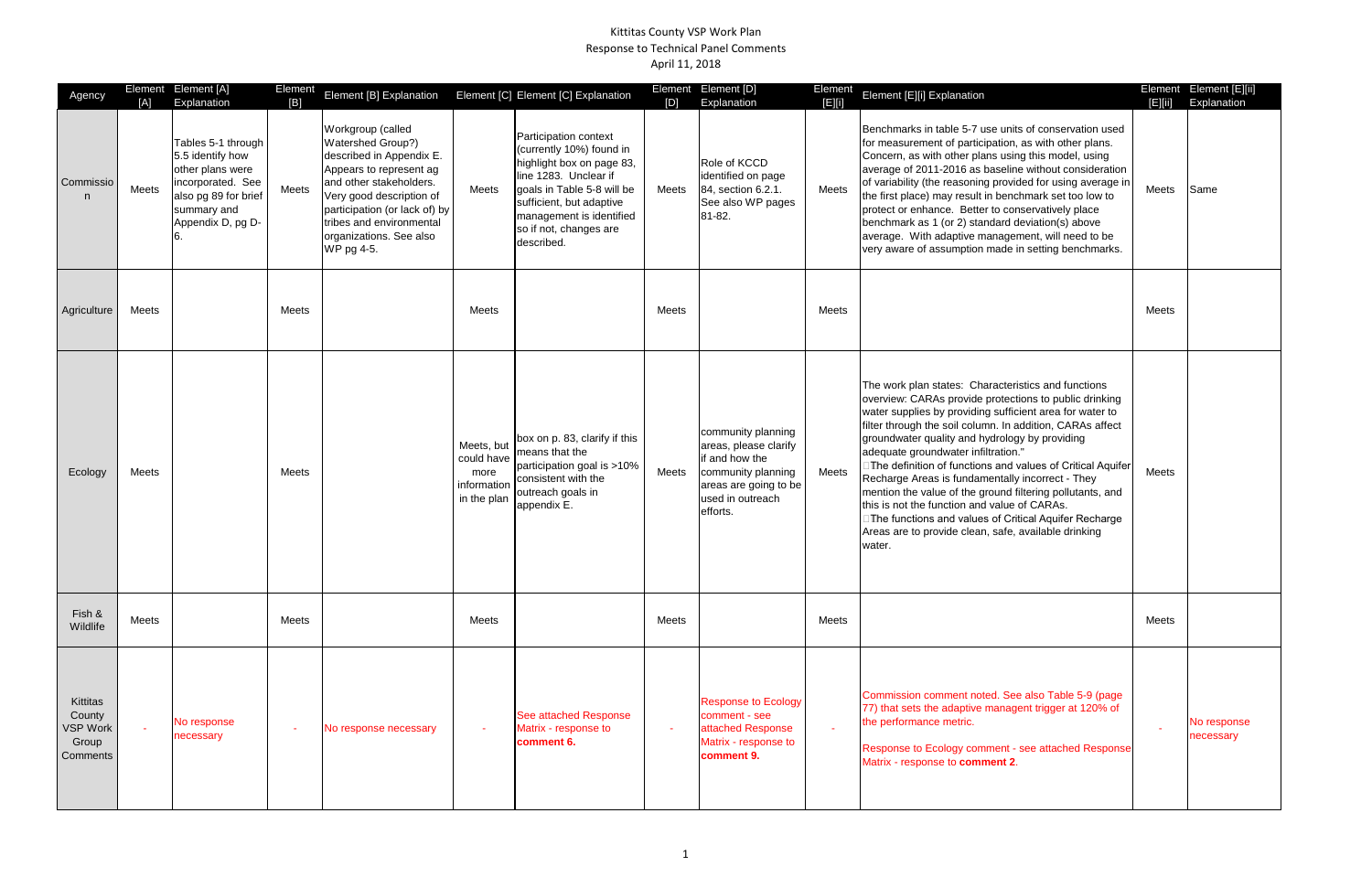## Kittitas County VSP Work Plan Response to Technical Panel Comments April 11, 2018

| Agency                                              | [A]          | Element Element [A]<br>Explanation                                                                                                          | Element<br>[B] | Element [B] Explanation                                                                                                                                                                                                                                    |                                                                | Element [C] Element [C] Explanation                                                                                                                                                                                                   | [D]    | Element Element [D]<br>Explanation                                                                                                           | Element<br>E  0 | Element [E][i] Explanation                                                                                                                                                                                                                                                                                                                                                                                                                                                                                                                                                                                                                                                                  | E      | Element Element [E][ii]<br>Explanation |
|-----------------------------------------------------|--------------|---------------------------------------------------------------------------------------------------------------------------------------------|----------------|------------------------------------------------------------------------------------------------------------------------------------------------------------------------------------------------------------------------------------------------------------|----------------------------------------------------------------|---------------------------------------------------------------------------------------------------------------------------------------------------------------------------------------------------------------------------------------|--------|----------------------------------------------------------------------------------------------------------------------------------------------|-----------------|---------------------------------------------------------------------------------------------------------------------------------------------------------------------------------------------------------------------------------------------------------------------------------------------------------------------------------------------------------------------------------------------------------------------------------------------------------------------------------------------------------------------------------------------------------------------------------------------------------------------------------------------------------------------------------------------|--------|----------------------------------------|
| Commissio                                           | Meets        | Tables 5-1 through<br>5.5 identify how<br>other plans were<br>incorporated. See<br>also pg 89 for brief<br>summary and<br>Appendix D, pg D- | Meets          | Workgroup (called<br>Watershed Group?)<br>described in Appendix E.<br>Appears to represent ag<br>and other stakeholders.<br>Very good description of<br>participation (or lack of) by<br>tribes and environmental<br>organizations. See also<br>WP pg 4-5. | Meets                                                          | Participation context<br>(currently 10%) found in<br>highlight box on page 83,<br>line 1283. Unclear if<br>goals in Table 5-8 will be<br>sufficient, but adaptive<br>management is identified<br>so if not, changes are<br>described. | Meets  | Role of KCCD<br>identified on page<br>84, section 6.2.1.<br>See also WP pages<br>81-82.                                                      | Meets           | Benchmarks in table 5-7 use units of conservation used<br>for measurement of participation, as with other plans.<br>Concern, as with other plans using this model, using<br>average of 2011-2016 as baseline without consideration<br>of variability (the reasoning provided for using average in<br>the first place) may result in benchmark set too low to<br>protect or enhance. Better to conservatively place<br>benchmark as 1 (or 2) standard deviation(s) above<br>average. With adaptive management, will need to be<br>very aware of assumption made in setting benchmarks.                                                                                                       | Meets  | Same                                   |
| Agriculture                                         | Meets        |                                                                                                                                             | Meets          |                                                                                                                                                                                                                                                            | Meets                                                          |                                                                                                                                                                                                                                       | Meets  |                                                                                                                                              | Meets           |                                                                                                                                                                                                                                                                                                                                                                                                                                                                                                                                                                                                                                                                                             | Meets  |                                        |
| Ecology                                             | <b>Meets</b> |                                                                                                                                             | Meets          |                                                                                                                                                                                                                                                            | Meets, but<br>could have<br>more<br>information<br>in the plan | box on p. 83, clarify if this<br>means that the<br>participation goal is >10%<br>consistent with the<br>outreach goals in<br>appendix E.                                                                                              | Meets  | community planning<br>areas, please clarify<br>if and how the<br>community planning<br>areas are going to be<br>used in outreach<br>efforts. | Meets           | The work plan states: Characteristics and functions<br>overview: CARAs provide protections to public drinking<br>water supplies by providing sufficient area for water to<br>filter through the soil column. In addition, CARAs affect<br>groundwater quality and hydrology by providing<br>adequate groundwater infiltration."<br>□The definition of functions and values of Critical Aquifer<br>Recharge Areas is fundamentally incorrect - They<br>mention the value of the ground filtering pollutants, and<br>this is not the function and value of CARAs.<br>□The functions and values of Critical Aquifer Recharge<br>Areas are to provide clean, safe, available drinking<br>water. | Meets  |                                        |
| Fish &<br>Wildlife                                  | Meets        |                                                                                                                                             | Meets          |                                                                                                                                                                                                                                                            | Meets                                                          |                                                                                                                                                                                                                                       | Meets  |                                                                                                                                              | Meets           |                                                                                                                                                                                                                                                                                                                                                                                                                                                                                                                                                                                                                                                                                             | Meets  |                                        |
| Kittitas<br>County<br>VSP Work<br>Group<br>Comments |              | No response<br>necessary                                                                                                                    | $\sim$         | No response necessary                                                                                                                                                                                                                                      | $\sim$                                                         | <b>See attached Response</b><br>Matrix - response to<br>comment 6.                                                                                                                                                                    | $\sim$ | <b>Response to Ecology</b><br>comment - see<br>attached Response<br>Matrix - response to<br>comment 9.                                       | $\sim$          | Commission comment noted. See also Table 5-9 (page<br>77) that sets the adaptive managent trigger at 120% of<br>the performance metric.<br>Response to Ecology comment - see attached Response<br>Matrix - response to comment 2.                                                                                                                                                                                                                                                                                                                                                                                                                                                           | $\sim$ | No response<br>necessary               |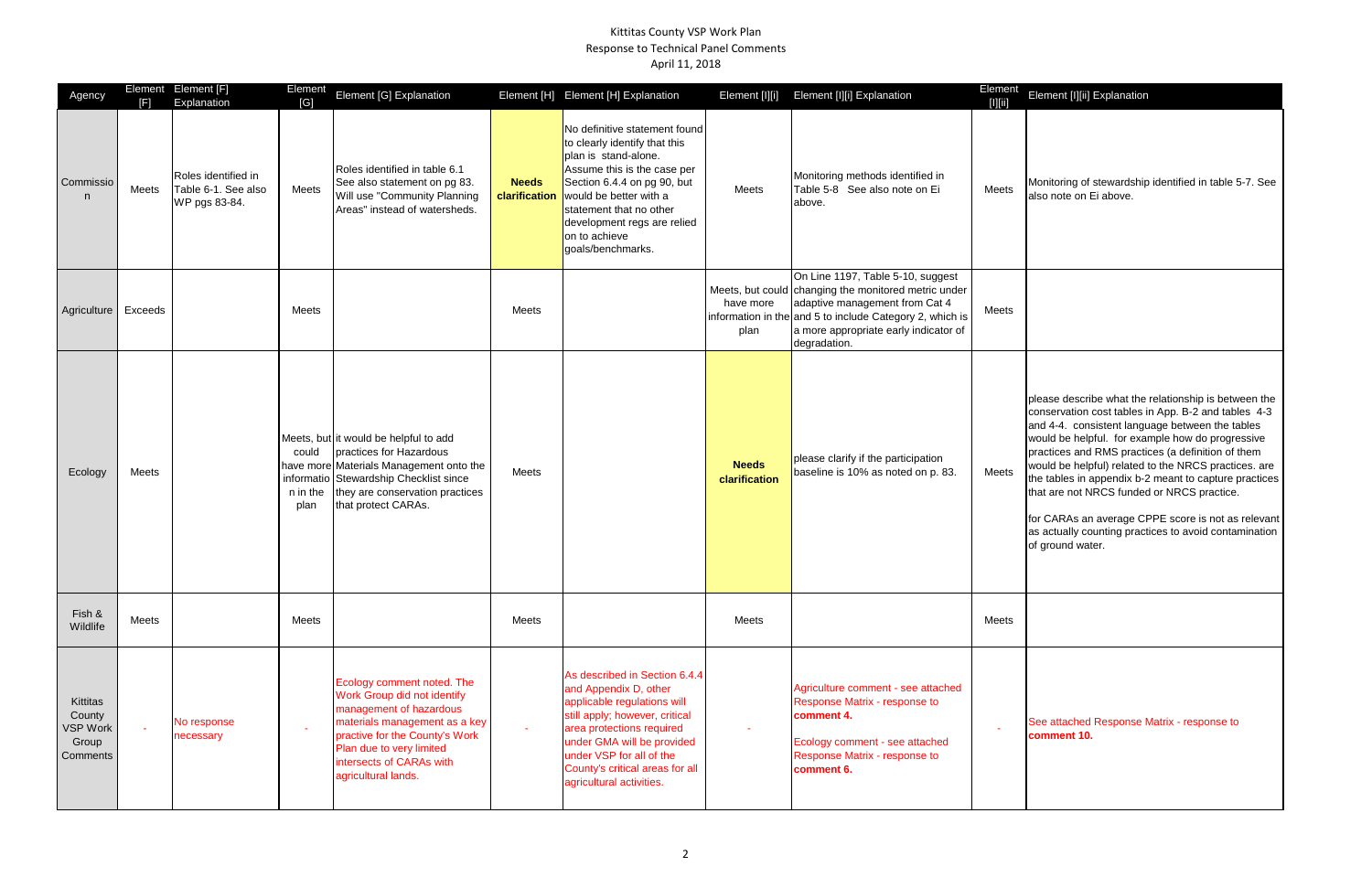## Kittitas County VSP Work Plan Response to Technical Panel Comments April 11, 2018

| <b>Iement</b><br>[[] | Element [I][ii] Explanation                                                                                                                                                                                                                                                                                                                                                                                                                                                                                                                                               |
|----------------------|---------------------------------------------------------------------------------------------------------------------------------------------------------------------------------------------------------------------------------------------------------------------------------------------------------------------------------------------------------------------------------------------------------------------------------------------------------------------------------------------------------------------------------------------------------------------------|
| Meets                | Monitoring of stewardship identified in table 5-7. See<br>also note on Ei above.                                                                                                                                                                                                                                                                                                                                                                                                                                                                                          |
| Meets                |                                                                                                                                                                                                                                                                                                                                                                                                                                                                                                                                                                           |
| Meets                | please describe what the relationship is between the<br>conservation cost tables in App. B-2 and tables 4-3<br>and 4-4. consistent language between the tables<br>would be helpful. for example how do progressive<br>practices and RMS practices (a definition of them<br>would be helpful) related to the NRCS practices. are<br>the tables in appendix b-2 meant to capture practices<br>that are not NRCS funded or NRCS practice.<br>for CARAs an average CPPE score is not as relevant<br>as actually counting practices to avoid contamination<br>of ground water. |
| Meets                |                                                                                                                                                                                                                                                                                                                                                                                                                                                                                                                                                                           |
|                      | See attached Response Matrix - response to<br>comment 10.                                                                                                                                                                                                                                                                                                                                                                                                                                                                                                                 |

| Agency                                                     | [F]     | Element Element [F]<br>Explanation                          | Element<br>[G]                          | Element [G] Explanation                                                                                                                                                                                                                |                               | Element [H] Element [H] Explanation                                                                                                                                                                                                                                            | Element [I][i]                | Element [I][i] Explanation                                                                                                                                                                                                                       | Element<br>$[1] [1]$ |
|------------------------------------------------------------|---------|-------------------------------------------------------------|-----------------------------------------|----------------------------------------------------------------------------------------------------------------------------------------------------------------------------------------------------------------------------------------|-------------------------------|--------------------------------------------------------------------------------------------------------------------------------------------------------------------------------------------------------------------------------------------------------------------------------|-------------------------------|--------------------------------------------------------------------------------------------------------------------------------------------------------------------------------------------------------------------------------------------------|----------------------|
| Commissio<br>n                                             | Meets   | Roles identified in<br>Table 6-1. See also<br>WP pgs 83-84. | Meets                                   | Roles identified in table 6.1<br>See also statement on pg 83.<br>Will use "Community Planning<br>Areas" instead of watersheds.                                                                                                         | <b>Needs</b><br>clarification | No definitive statement found<br>to clearly identify that this<br>plan is stand-alone.<br>Assume this is the case per<br>Section 6.4.4 on pg 90, but<br>would be better with a<br>statement that no other<br>development regs are relied<br>on to achieve<br>goals/benchmarks. | Meets                         | Monitoring methods identified in<br>Table 5-8 See also note on Ei<br>above.                                                                                                                                                                      | Meets                |
| Agriculture                                                | Exceeds |                                                             | Meets                                   |                                                                                                                                                                                                                                        | Meets                         |                                                                                                                                                                                                                                                                                | have more<br>plan             | On Line 1197, Table 5-10, suggest<br>Meets, but could changing the monitored metric under<br>adaptive management from Cat 4<br>information in the and 5 to include Category 2, which is<br>a more appropriate early indicator of<br>degradation. | Meets                |
| Ecology                                                    | Meets   |                                                             | could<br>informatio<br>n in the<br>plan | Meets, but it would be helpful to add<br>practices for Hazardous<br>have more Materials Management onto the<br>Stewardship Checklist since<br>they are conservation practices<br>that protect CARAs.                                   | Meets                         |                                                                                                                                                                                                                                                                                | <b>Needs</b><br>clarification | please clarify if the participation<br>baseline is 10% as noted on p. 83.                                                                                                                                                                        | Meets                |
| Fish &<br>Wildlife                                         | Meets   |                                                             | Meets                                   |                                                                                                                                                                                                                                        | Meets                         |                                                                                                                                                                                                                                                                                | Meets                         |                                                                                                                                                                                                                                                  | Meets                |
| Kittitas<br>County<br><b>VSP Work</b><br>Group<br>Comments |         | No response<br>necessary                                    | $\sim$                                  | Ecology comment noted. The<br>Work Group did not identify<br>management of hazardous<br>materials management as a key<br>practive for the County's Work<br>Plan due to very limited<br>intersects of CARAs with<br>agricultural lands. | $\sim$                        | As described in Section 6.4.4<br>and Appendix D, other<br>applicable regulations will<br>still apply; however, critical<br>area protections required<br>under GMA will be provided<br>under VSP for all of the<br>County's critical areas for all<br>agricultural activities.  |                               | Agriculture comment - see attached<br>Response Matrix - response to<br>comment 4.<br>Ecology comment - see attached<br>Response Matrix - response to<br>comment 6.                                                                               |                      |